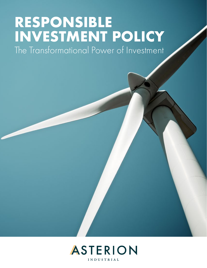# **RESPONSIBLE INVESTMENT POLICY**

The Transformational Power of Investment

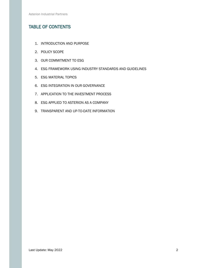# TABLE OF CONTENTS

- 1. INTRODUCTION AND PURPOSE
- 2. POLICY SCOPE
- 3. OUR COMMITMENT TO ESG
- 4. ESG FRAMEWORK USING INDUSTRY STANDARDS AND GUIDELINES
- 5. ESG MATERIAL TOPICS
- 6. ESG INTEGRATION IN OUR GOVERNANCE
- 7. APPLICATION TO THE INVESTMENT PROCESS
- 8. ESG APPLIED TO ASTERION AS A COMPANY
- 9. TRANSPARENT AND UP-TO-DATE INFORMATION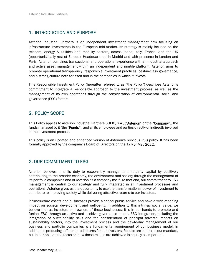# 1. INTRODUCTION AND PURPOSE

Asterion Industrial Partners is an independent investment management firm focusing on infrastructure investments in the European mid-market. Its strategy is mainly focused on the telecom, energy & utilities and mobility sectors, across Iberia, Italy, France, and the UK (opportunistically rest of Europe). Headquartered in Madrid and with presence in London and Paris, Asterion combines transactional and operational experience with an industrial approach and active asset management within an independent and nimble platform. Asterion aims to promote operational transparency, responsible investment practices, best-in-class governance, and a strong culture both for itself and in the companies in which it invests.

This Responsible Investment Policy (hereafter referred to as "the Policy") describes Asterion's commitment to integrate a responsible approach to the investment process, as well as the management of its own operations through the consideration of environmental, social and governance (ESG) factors.

# 2. POLICY SCOPE

This Policy applies to Asterion Industrial Partners SGEIC, S.A., ("Asterion" or the "Company"), the funds managed by it (the "**Funds**"), and all its employees and parties directly or indirectly involved in the investment process.

This policy is an updated and enhanced version of Asterion's previous ESG policy. It has been formally approved by the company's Board of Directors on the  $17<sup>th</sup>$  of May 2022.

## 2. OUR COMMITMENT TO ESG

Asterion believes it is its duty to responsibly manage its third-party capital by positively contributing to the broader economy, the environment and society through the management of its portfolio companies and of Asterion as a company itself. To that end, our commitment to ESG management is central to our strategy and fully integrated in all investment processes and operations. Asterion gives us the opportunity to use the transformational power of investment to contribute to improving society while delivering attractive returns to our investors.

Infrastructure assets and businesses provide a critical public service and have a wide-reaching impact on societal development and well-being. In addition to this intrinsic social value, we believe that as investors and owners of these businesses, it is in our hands to promote and further ESG through an active and positive governance model. ESG integration, including the integration of sustainability risks and the consideration of principal adverse impacts on sustainability factors, into the investment process and the day-to-day management of our business and portfolio companies is a fundamental requirement of our business model, in addition to producing differentiated returns for our investors. Results are central to our mandate, but in our opinion the focus on how those results are achieved is equally as important.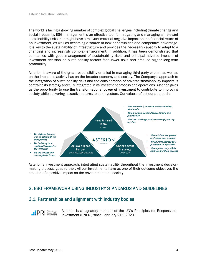The world is facing a growing number of complex global challenges including climate change and social inequality. ESG management is an effective tool for mitigating and managing all relevant sustainability risks that might have a relevant material negative impact on the financial return of an investment, as well as becoming a source of new opportunities and competitive advantage. It is key to the sustainability of infrastructure and provides the necessary capacity to adapt to a changing and increasingly complex environment. In addition, it has been demonstrated that companies with good management of sustainability risks and principal adverse impacts of investment decision on sustainability factors face lower risks and produce higher long-term profitability.

Asterion is aware of the great responsibility entailed in managing third-party capital, as well as on the impact its activity has on the broader economy and society. The Company's approach to the integration of sustainability risks and the consideration of adverse sustainability impacts is central to its strategy and fully integrated in its investment process and operations. Asterion gives us the opportunity to use the transformational power of investment to contribute to improving society while delivering attractive returns to our investors. Our values reflect our approach:



Asterion's investment approach, integrating sustainability throughout the investment decisionmaking process, goes further. All our investments have as one of their outcome objectives the creation of a positive impact on the environment and society.

## 3. ESG FRAMEWORK USING INDUSTRY STANDARDS AND GUIDELINES

## 3.1. Partnerships and alignment with industry bodies

**PRI** Responsible

Asterion is a signatory member of the UN's Principles for Responsible Investment (UNPRI) since February 21st, 2020.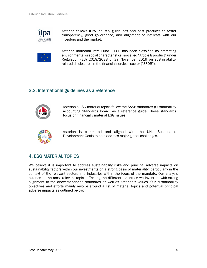

Asterion follows ILPA industry guidelines and best practices to foster transparency, good governance, and alignment of interests with our investors and the market.



Asterion Industrial Infra Fund II FCR has been classified as promoting environmental or social characteristics, so-called "Article 8 product" under Regulation (EU) 2019/2088 of 27 November 2019 on sustainabilityrelated disclosures in the financial services sector ("SFDR").

# 3.2. International guidelines as a reference



Asterion's ESG material topics follow the SASB standards (Sustainability Accounting Standards Board) as a reference guide. These standards focus on financially material ESG issues.



Asterion is committed and aligned with the UN's Sustainable Development Goals to help address major global challenges.

# 4. ESG MATERIAL TOPICS

We believe it is important to address sustainability risks and principal adverse impacts on sustainability factors within our investments on a strong basis of materiality, particularly in the context of the relevant sectors and industries within the focus of the mandate. Our analysis extends to the most relevant topics affecting the different industries we invest in, with strong alignment to the abovementioned standards as well as Asterion's values. Our sustainability objectives and efforts mainly revolve around a list of material topics and potential principal adverse impacts as outlined below: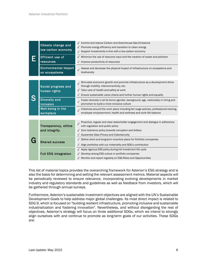|  | Climate change and<br>low-carbon economy<br><b>Efficient use of</b><br>resources | √ Control and reduce Carbon and Greenhouse Gas Emissions<br>$\sqrt{\phantom{a}}$ Promote energy efficiency and transition to clean energy<br>√ Support investments in-line with a low-carbon economy<br>$\sqrt{\phantom{a}}$ Minimize the use of resource input and the creation of waste and pollution<br>$\sqrt{ }$ Improve productivity of resources |
|--|----------------------------------------------------------------------------------|---------------------------------------------------------------------------------------------------------------------------------------------------------------------------------------------------------------------------------------------------------------------------------------------------------------------------------------------------------|
|  | <b>Environmental impact</b><br>on ecosystems                                     | Assess and decrease the physical impact of infrastructure on ecosystems and<br>biodiversity                                                                                                                                                                                                                                                             |
|  | Social progress and<br>human rights                                              | Stimulate economic growth and promote infrastructure as a development driver<br>through mobility, interconnectivity, etc.<br>√ Take care of health and safety at work                                                                                                                                                                                   |
|  | <b>Diversity and</b><br>inclusion                                                | $\sqrt{\phantom{a}}$ Ensure sustainable value chains and further human rights and equality<br>Foster diversity in all its forms (gender, background, age, nationality) in hiring and<br>promotion to build a more inclusive culture                                                                                                                     |
|  | Well-being in the<br>workplace                                                   | Initiatives around the work place including fair wage policies, professional training,<br>employee empowerment, health and wellness and work-life balance                                                                                                                                                                                               |
|  |                                                                                  |                                                                                                                                                                                                                                                                                                                                                         |
|  | <b>Transparency, ethics</b>                                                      | Proactive, regular and clear stakeholder engagement and dialogue in adherence<br>with regulation and public policy                                                                                                                                                                                                                                      |
|  | and integrity                                                                    | √ Zero tolerance policy towards corruption and bribery<br>√ Guarantee Data Privacy and Cybersecurity                                                                                                                                                                                                                                                    |
|  | <b>Shared success</b>                                                            | √ Define short and long-term incentive plans for Portfolio companies<br>√ Align portfolios with our materiality and SDG's contribution                                                                                                                                                                                                                  |
|  | <b>Full ESG integration</b>                                                      | √ Apply rigorous ESG policy during full investment life cycle<br>Develop strong ESG culture in portfolio companies<br>√ Monitor and report regularly on ESG Risks and Opportunities                                                                                                                                                                     |

This list of material topics provides the overarching framework for Asterion's ESG strategy and is also the basis for determining and setting the relevant assessment metrics. Material aspects will be periodically reviewed to ensure relevance, incorporating evolving developments in market industry and regulatory standards and guidelines as well as feedback from investors, which will be gathered through annual surveys.

Furthermore, Asterion's sustainable investment objectives are aligned with the UN's Sustainable Development Goals to help address major global challenges. Its most direct impact is related to SDG 9, which is focused on "building resilient infrastructure, promoting inclusive and sustainable industrialization and fostering innovation". Nevertheless, and without disregarding the rest of objectives, Asterion's strategy will focus on three additional SDGs, which we intend to strongly align ourselves with and continue to promote as long-term goals of our activities. These SDGs are: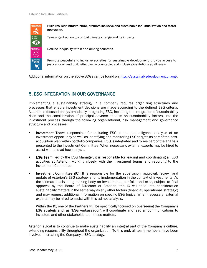

Build resilient infrastructure, promote inclusive and sustainable industrialization and foster innovation.

Take urgent action to combat climate change and its impacts.

Reduce inequality within and among countries.

Promote peaceful and inclusive societies for sustainable development, provide access to justice for all and build effective, accountable, and inclusive institutions at all levels.

Additional information on the above SDGs can be found o[n https://sustainabledevelopment.un.org/.](https://sustainabledevelopment.un.org/)

## 5. ESG INTEGRATION IN OUR GOVERNANCE

Implementing a sustainability strategy in a company requires organizing structures and processes that ensure investment decisions are made according to the defined ESG criteria. Asterion is focused on systematically integrating ESG, including the integration of sustainability risks and the consideration of principal adverse impacts on sustainability factors, into the investment process through the following organizational, risk management and governance structure and processes:

- **Investment Team:** responsible for including ESG in the due diligence analysis of an investment opportunity as well as identifying and monitoring ESG targets as part of the postacquisition plan within portfolio companies. ESG is integrated and forms part of the analysis presented to the Investment Committee. When necessary, external experts may be hired to assist with this ad-hoc analysis.
- **ESG Team:** led by the ESG Manager, it is responsible for leading and coordinating all ESG activities at Asterion, working closely with the investment teams and reporting to the Investment Committee.
- **Investment Committee (IC):** It is responsible for the supervision, approval, review, and update of Asterion's ESG strategy and its implementation in the context of investments. As the ultimate decisioning making body on investments, portfolio and exits, subject to final approval by the Board of Directors of Asterion, the IC will take into consideration sustainability matters in the same way as any other factors (financial, operational, strategic) and may request additional information on specific ESG topics. When necessary, external experts may be hired to assist with this ad-hoc analysis.

Within the IC, one of the Partners will be specifically focused on overseeing the Company's ESG strategy and, as "ESG Ambassador", will coordinate and lead all communications to investors and other stakeholders on these matters.

Asterion's goal is to continue to make sustainability an integral part of the Company's culture, extending responsibility throughout the organization. To this end, all team members have been involved in creating the Company's ESG strategy.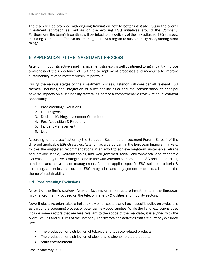The team will be provided with ongoing training on how to better integrate ESG in the overall investment approach as well as on the evolving ESG initiatives around the Company. Furthermore, the team's incentives will be linked to the delivery of the risk adjusted ESG strategy, including sound and effective risk management with regard to sustainability risks, among other things.

# 6. APPLICATION TO THE INVESTMENT PROCESS

Asterion, through its active asset management strategy, is well positioned to significantly improve awareness of the importance of ESG and to implement processes and measures to improve sustainability-related matters within its portfolio.

During the various stages of the investment process, Asterion will consider all relevant ESG themes, including the integration of sustainability risks and the consideration of principal adverse impacts on sustainability factors, as part of a comprehensive review of an investment opportunity:

- 1. Pre-Screening: Exclusions
- 2. Due Diligence
- 3. Decision Making: Investment Committee
- 4. Post-Acquisition & Reporting
- 5. Incident Management
- 6. Exit

According to the classification by the European Sustainable Investment Forum (Eurosif) of the different applicable ESG strategies, Asterion, as a participant in the European financial markets, follows the suggested recommendations in an effort to achieve long-term sustainable returns and provide stable, well-functioning and well governed social, environmental and economic systems. Among these strategies, and in line with Asterion's approach to ESG and its industrial, hands-on and active asset management, Asterion applies specific ESG selection criteria & screening, an exclusions list, and ESG integration and engagement practices, all around the theme of sustainability.

#### 6.1. Pre-Screening: Exclusions

As part of the firm's strategy, Asterion focuses on infrastructure investments in the European mid-market, mainly focused on the telecom, energy & utilities and mobility sectors.

Nevertheless, Asterion takes a holistic view on all sectors and has a specific policy on exclusions as part of the screening process of potential new opportunities. While the list of exclusions does include some sectors that are less relevant to the scope of the mandate, it is aligned with the overall values and cultures of the Company. The sectors and activities that are currently excluded are:

- The production or distribution of tobacco and tobacco-related products.
- The production or distribution of alcohol and alcohol-related products.
- Adult entertainment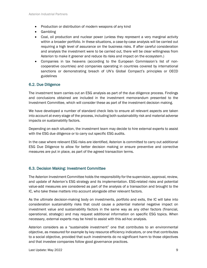- Production or distribution of modern weapons of any kind
- Gambling
- Coal, oil production and nuclear power (unless they represent a very marginal activity within a broader portfolio. In these situations, a case-by-case analysis will be carried out requiring a high level of assurance on the business risks. If after careful consideration and analysis the investment were to be carried out, there will be clear willingness from Asterion to make it greener and reduce its risks and impact on the ecosystem.)
- Companies in tax heavens (according to the European Commission's list of noncooperative countries) and companies operating in countries covered by international sanctions or demonstrating breach of UN's Global Compact's principles or OECD guidelines

#### 6.2. Due Diligence

The investment team carries out an ESG analysis as part of the due diligence process. Findings and conclusions obtained are included in the investment memorandum presented to the Investment Committee, which will consider these as part of the investment decision making.

We have developed a number of standard check lists to ensure all relevant aspects are taken into account at every stage of the process, including both sustainability risk and material adverse impacts on sustainability factors.

Depending on each situation, the investment team may decide to hire external experts to assist with the ESG due diligence or to carry out specific ESG audits.

In the case where relevant ESG risks are identified, Asterion is committed to carry out additional ESG Due Diligence to allow for better decision making or ensure preventive and corrective measures are put in place, as part of the agreed transaction terms.

#### 6.3. Decision Making: Investment Committee

The Asterion Investment Committee holds the responsibility for the supervision, approval, review, and update of Asterion's ESG strategy and its implementation. ESG-related risks and potential value-add measures are considered as part of the analysis of a transaction and brought to the IC, who take these matters into account alongside other relevant factors.

As the ultimate decision-making body on investments, portfolio and exits, the IC will take into consideration sustainability risks that could cause a potential material negative impact on investment value and sustainability factors in the same way as any other factors (financial, operational, strategic) and may request additional information on specific ESG topics. When necessary, external experts may be hired to assist with this ad-hoc analysis.

Asterion considers as a "sustainable investment" one that contributes to an environmental objective, as measured for example by key resource efficiency indicators, or one that contributes to a social objective, provided that such investments do no significant harm to those objectives and that investee companies follow good governance practices.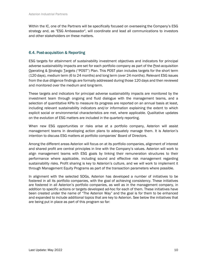Within the IC, one of the Partners will be specifically focused on overseeing the Company's ESG strategy and, as "ESG Ambassador", will coordinate and lead all communications to investors and other stakeholders on these matters.

#### 6.4. Post-acquisition & Reporting

ESG targets for attainment of sustainability investment objectives and indicators for principal adverse sustainability impacts are set for each portfolio company as part of the Post-acquisition Operating & Strategic Targets ("POST") Plan. This POST plan includes targets for the short term (120 days), medium term (6 to 24 months) and long term (over 24 months). Relevant ESG issues from the due diligence findings are formally addressed during those 120 days and then reviewed and monitored over the medium and long-term.

These targets and indicators for principal adverse sustainability impacts are monitored by the investment team through ongoing and fluid dialogue with the management teams, and a selection of quantitative KPIs to measure its progress are reported on an annual basis at least, including relevant sustainability indicators and/or information explaining the extent to which explicit social or environmental characteristics are met, where applicable. Qualitative updates on the evolution of ESG matters are included in the quarterly reporting.

When new ESG opportunities or risks arise at a portfolio company, Asterion will assist management teams in developing action plans to adequately manage them. It is Asterion's intention to discuss ESG matters at portfolio companies' Board of Directors.

Among the different areas Asterion will focus on at its portfolio companies, alignment of interest and shared profit are central principles in line with the Company's values. Asterion will work to align management teams with ESG goals by linking their remuneration structures to their performance where applicable, including sound and effective risk management regarding sustainability risks. Profit sharing is key to Asterion's culture, and we will work to implement it through Management Equity Programs as part of the transaction parameters where possible.

In alignment with the selected SDGs, Asterion has developed a number of initiatives to be fostered in all its portfolio companies, with the goal of achieving consistency. These initiatives are fostered in all Asterion's portfolio companies, as well as in the management company, in addition to specific actions or targets developed ad-hoc for each of them. These initiatives have been created under the name of "The Asterion Way" and the goal is for them to be enhanced and expanded to include additional topics that are key to Asterion. See below the initiatives that are being put in place as part of this program so far: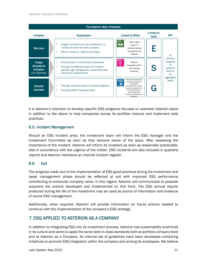

It is Asterion's intention to develop specific ESG programs focused on selected material topics in addition to the above to help companies across its portfolio improve and implement best practices.

#### 6.5. Incident Management

Should an ESG incident arise, the investment team will inform the ESG manager and the Investment Committee as soon as they become aware of the issue. After assessing the importance of the incident, Asterion will inform its investors as soon as reasonably practicable, also in accordance with the urgency of the matter. ESG incidents are also included in quarterly reports and Asterion maintains an internal incident register.

#### 6.6 Exit

The progress made due to the implementation of ESG good practices during the investment and asset management phase should be reflected at exit with improved ESG performance contributing to enhanced company value. In this regard, Asterion will communicate to possible acquirers the actions developed and implemented on this front. The ESG annual reports produced during the life of the investment may be used as source of information and evidence of sound ESG management.

Additionally, when required, Asterion will provide information on future actions needed to continue with the implementation of the company's ESG strategy.

## 7. ESG APPLIED TO ASTERION AS A COMPANY

In addition to integrating ESG into its investment process, Asterion has sustainability enshrined in its culture and works to apply the same best-in-class standards both at portfolio company level and at Asterion as a Company. An internal set of guidelines have been developed containing initiatives to promote ESG integration within the company and among its employees. We believe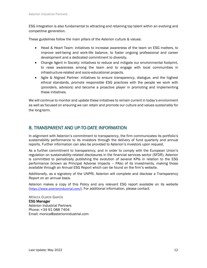ESG integration is also fundamental to attracting and retaining top talent within an evolving and competitive generation.

These guidelines follow the main pillars of the Asterion culture & values:

- Head & Heart Team: initiatives to increase awareness of the team on ESG matters, to improve well-being and work-life balance, to foster ongoing professional and career development and a dedicated commitment to diversity.
- Change Agent in Society: initiatives to reduce and mitigate our environmental footprint, to raise awareness among the team and to engage with local communities in infrastructure-related and socio-educational projects.
- Agile & Aligned Partner: initiatives to ensure transparency, dialogue, and the highest ethical standards, promote responsible ESG practices with the people we work with (providers, advisors) and become a proactive player in promoting and implementing these initiatives.

We will continue to monitor and update these initiatives to remain current in today's environment as well as focused on ensuring we can retain and promote our culture and values sustainably for the long-term.

## 8. TRANSPARENT AND UP-TO-DATE INFORMATION

In alignment with Asterion's commitment to transparency, the firm communicates its portfolio's sustainability performance to its investors through the delivery of fund quarterly and annual reports. Further information can also be provided to Asterion's investors upon request.

As a further commitment to transparency, and in order to comply with the European Union's regulation on sustainability-related disclosures in the financial services sector (SFDR), Asterion is committed to periodically publishing the evolution of several KPIs in relation to the ESG performance (known as Principal Adverse Impacts – PAIs) of its investments, making those available through an Annual ESG Report which can be found on the firm's website.

Additionally, as a signatory of the UNPRI, Asterion will complete and disclose a Transparency Report on an annual basis.

Asterion makes a copy of this Policy and any relevant ESG report available on its website ([https://www.asterionindustrial.com/\)](https://www.asterionindustrial.com/). For additional information, please contact:

MÓNICA OLMOS GARCÍA ESG Manager Asterion Industrial Partners Phone: +34 91 088 7404 Email: [monica@asterionindustrial.com](mailto:monica@asterionindustrial.com)